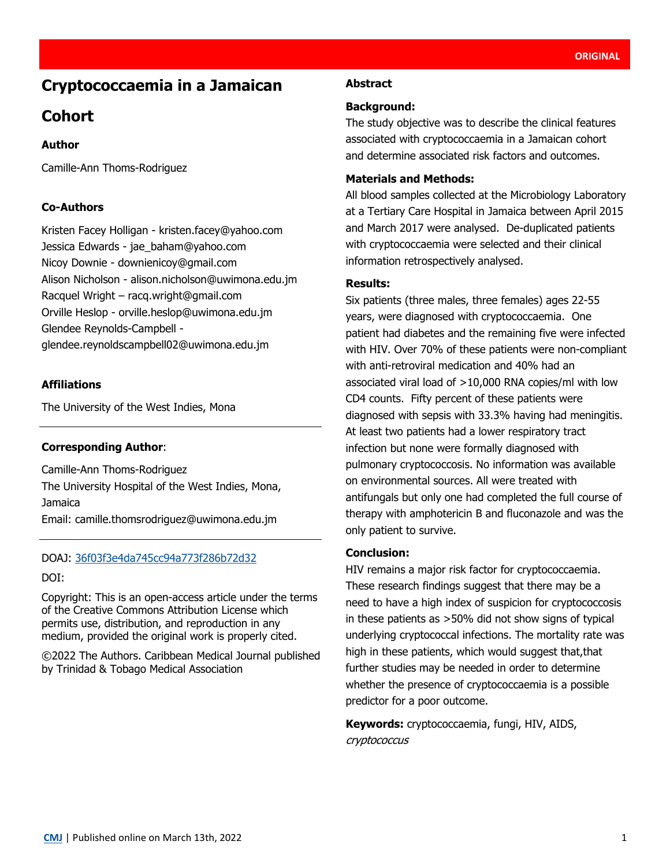# **Cryptococcaemia in a Jamaican**

# **Cohort**

# **Author**

Camille-Ann Thoms-Rodriguez

## **Co-Authors**

Kristen Facey Holligan - kristen.facey@yahoo.com Jessica Edwards - jae\_baham@yahoo.com Nicoy Downie - downienicoy@gmail.com Alison Nicholson - alison.nicholson@uwimona.edu.jm Racquel Wright – racq.wright@gmail.com Orville Heslop - orville.heslop@uwimona.edu.jm Glendee Reynolds-Campbell glendee.reynoldscampbell02@uwimona.edu.jm

## **Affiliations**

The University of the West Indies, Mona

#### **Corresponding Author**:

Camille-Ann Thoms-Rodriguez The University Hospital of the West Indies, Mona, Jamaica Email: [camille.thomsrodriguez@uwimona.edu.jm](mailto:camille.thomsrodriguez@uwimona.edu.jm)

#### DOAJ: [36f03f3e4da745cc94a773f286b72d32](https://doaj.org/article/36f03f3e4da745cc94a773f286b72d32)

#### DOI:

Copyright: This is an open-access article under the terms of the [Creative Commons Attribution License](https://creativecommons.org/licenses/by/4.0/) which permits use, distribution, and reproduction in any medium, provided the original work is properly cited.

©2022 The Authors. Caribbean Medical Journal published by Trinidad & Tobago Medical Association

#### **Abstract**

### **Background:**

The study objective was to describe the clinical features associated with cryptococcaemia in a Jamaican cohort and determine associated risk factors and outcomes.

## **Materials and Methods:**

All blood samples collected at the Microbiology Laboratory at a Tertiary Care Hospital in Jamaica between April 2015 and March 2017 were analysed. De-duplicated patients with cryptococcaemia were selected and their clinical information retrospectively analysed.

#### **Results:**

Six patients (three males, three females) ages 22-55 years, were diagnosed with cryptococcaemia. One patient had diabetes and the remaining five were infected with HIV. Over 70% of these patients were non-compliant with anti-retroviral medication and 40% had an associated viral load of >10,000 RNA copies/ml with low CD4 counts. Fifty percent of these patients were diagnosed with sepsis with 33.3% having had meningitis. At least two patients had a lower respiratory tract infection but none were formally diagnosed with pulmonary cryptococcosis. No information was available on environmental sources. All were treated with antifungals but only one had completed the full course of therapy with amphotericin B and fluconazole and was the only patient to survive.

#### **Conclusion:**

HIV remains a major risk factor for cryptococcaemia. These research findings suggest that there may be a need to have a high index of suspicion for cryptococcosis in these patients as >50% did not show signs of typical underlying cryptococcal infections. The mortality rate was high in these patients, which would suggest that,that further studies may be needed in order to determine whether the presence of cryptococcaemia is a possible predictor for a poor outcome.

**Keywords:** cryptococcaemia, fungi, HIV, AIDS, cryptococcus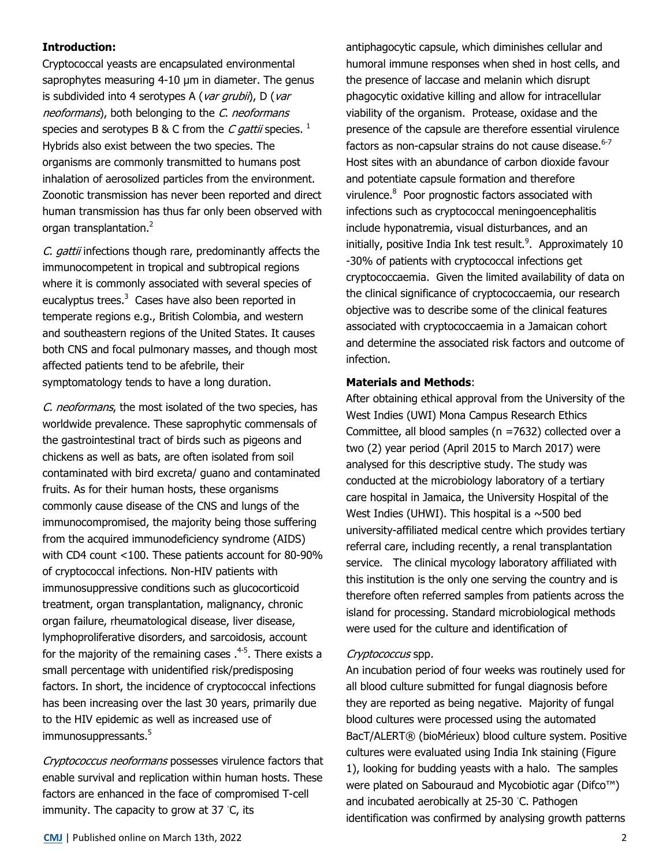## **Introduction:**

Cryptococcal yeasts are encapsulated environmental saprophytes measuring 4-10 um in diameter. The genus is subdivided into 4 serotypes A (var grubii), D (var neoformans), both belonging to the C. neoformans species and serotypes B & C from the C gattii species.  $^1$ Hybrids also exist between the two species. The organisms are commonly transmitted to humans post inhalation of aerosolized particles from the environment. Zoonotic transmission has never been reported and direct human transmission has thus far only been observed with organ transplantation.<sup>2</sup>

C. gattii infections though rare, predominantly affects the immunocompetent in tropical and subtropical regions where it is commonly associated with several species of eucalyptus trees.<sup>3</sup> Cases have also been reported in temperate regions e.g., British Colombia, and western and southeastern regions of the United States. It causes both CNS and focal pulmonary masses, and though most affected patients tend to be afebrile, their symptomatology tends to have a long duration.

C. neoformans, the most isolated of the two species, has worldwide prevalence. These saprophytic commensals of the gastrointestinal tract of birds such as pigeons and chickens as well as bats, are often isolated from soil contaminated with bird excreta/ guano and contaminated fruits. As for their human hosts, these organisms commonly cause disease of the CNS and lungs of the immunocompromised, the majority being those suffering from the acquired immunodeficiency syndrome (AIDS) with CD4 count <100. These patients account for 80-90% of cryptococcal infections. Non-HIV patients with immunosuppressive conditions such as glucocorticoid treatment, organ transplantation, malignancy, chronic organ failure, rheumatological disease, liver disease, lymphoproliferative disorders, and sarcoidosis, account for the majority of the remaining cases  $.^{4\text{-}5}$ . There exists a small percentage with unidentified risk/predisposing factors. In short, the incidence of cryptococcal infections has been increasing over the last 30 years, primarily due to the HIV epidemic as well as increased use of immunosuppressants.<sup>5</sup>

Cryptococcus neoformans possesses virulence factors that enable survival and replication within human hosts. These factors are enhanced in the face of compromised T-cell immunity. The capacity to grow at 37 ◦C, its

antiphagocytic capsule, which diminishes cellular and humoral immune responses when shed in host cells, and the presence of laccase and melanin which disrupt phagocytic oxidative killing and allow for intracellular viability of the organism. Protease, oxidase and the presence of the capsule are therefore essential virulence factors as non-capsular strains do not cause disease. $6-7$ Host sites with an abundance of carbon dioxide favour and potentiate capsule formation and therefore virulence.<sup>8</sup> Poor prognostic factors associated with infections such as cryptococcal meningoencephalitis include hyponatremia, visual disturbances, and an initially, positive India Ink test result.<sup>9</sup>. Approximately 10 -30% of patients with cryptococcal infections get cryptococcaemia. Given the limited availability of data on the clinical significance of cryptococcaemia, our research objective was to describe some of the clinical features associated with cryptococcaemia in a Jamaican cohort and determine the associated risk factors and outcome of infection.

#### **Materials and Methods**:

After obtaining ethical approval from the University of the West Indies (UWI) Mona Campus Research Ethics Committee, all blood samples (n =7632) collected over a two (2) year period (April 2015 to March 2017) were analysed for this descriptive study. The study was conducted at the microbiology laboratory of a tertiary care hospital in Jamaica, the University Hospital of the West Indies (UHWI). This hospital is a  $\sim$  500 bed university‐affiliated medical centre which provides tertiary referral care, including recently, a renal transplantation service. The clinical mycology laboratory affiliated with this institution is the only one serving the country and is therefore often referred samples from patients across the island for processing. Standard microbiological methods were used for the culture and identification of

#### Cryptococcus spp.

An incubation period of four weeks was routinely used for all blood culture submitted for fungal diagnosis before they are reported as being negative. Majority of fungal blood cultures were processed using the automated BacT/ALERT® (bioMérieux) blood culture system. Positive cultures were evaluated using India Ink staining (Figure 1), looking for budding yeasts with a halo. The samples were plated on Sabouraud and Mycobiotic agar (Difco™) and incubated aerobically at 25-30 ◦C. Pathogen identification was confirmed by analysing growth patterns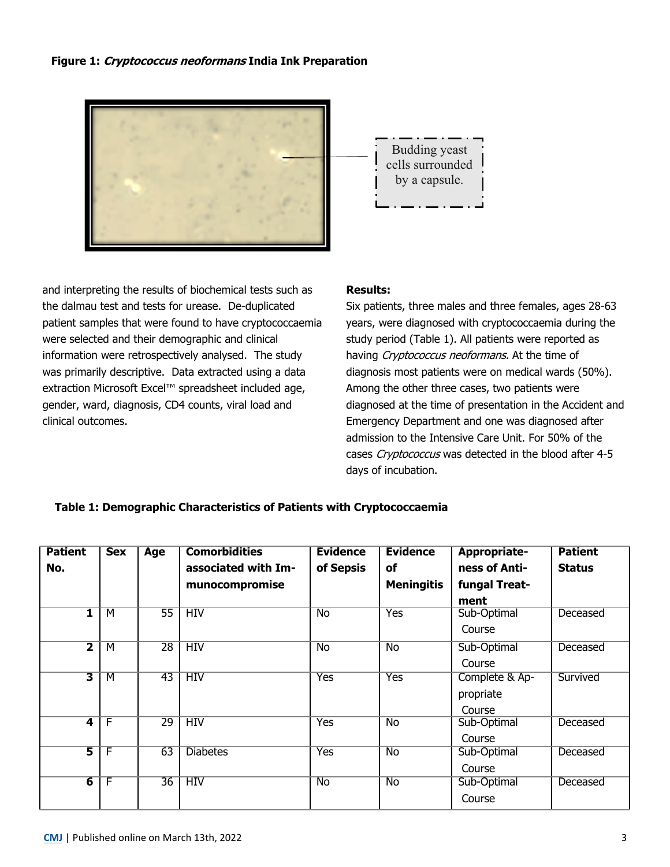### **Figure 1: Cryptococcus neoformans India Ink Preparation**



and interpreting the results of biochemical tests such as the dalmau test and tests for urease. De-duplicated patient samples that were found to have cryptococcaemia were selected and their demographic and clinical information were retrospectively analysed. The study was primarily descriptive. Data extracted using a data extraction Microsoft Excel™ spreadsheet included age, gender, ward, diagnosis, CD4 counts, viral load and clinical outcomes.

## **Results:**

Six patients, three males and three females, ages 28-63 years, were diagnosed with cryptococcaemia during the study period (Table 1). All patients were reported as having Cryptococcus neoformans. At the time of diagnosis most patients were on medical wards (50%). Among the other three cases, two patients were diagnosed at the time of presentation in the Accident and Emergency Department and one was diagnosed after admission to the Intensive Care Unit. For 50% of the cases Cryptococcus was detected in the blood after 4-5 days of incubation.

#### **Table 1: Demographic Characteristics of Patients with Cryptococcaemia**

| <b>Patient</b>          | <b>Sex</b>     | Age             | <b>Comorbidities</b> | <b>Evidence</b>    | <b>Evidence</b>    | <b>Appropriate-</b> | <b>Patient</b> |
|-------------------------|----------------|-----------------|----------------------|--------------------|--------------------|---------------------|----------------|
| No.                     |                |                 | associated with Im-  | of Sepsis          | of                 | ness of Anti-       | <b>Status</b>  |
|                         |                |                 | munocompromise       |                    | <b>Meningitis</b>  | fungal Treat-       |                |
|                         |                |                 |                      |                    |                    | ment                |                |
| 1                       | м              | $\overline{55}$ | HIV                  | <b>No</b>          | <b>Yes</b>         | Sub-Optimal         | Deceased       |
|                         |                |                 |                      |                    |                    | Course              |                |
| 2                       | M              | 28              | <b>HIV</b>           | $\overline{N_{O}}$ | $\overline{N_{O}}$ | Sub-Optimal         | Deceased       |
|                         |                |                 |                      |                    |                    | Course              |                |
| $\overline{\mathbf{3}}$ | $\overline{M}$ | $\overline{43}$ | HIV                  | <b>Yes</b>         | <b>Yes</b>         | Complete & Ap-      | Survived       |
|                         |                |                 |                      |                    |                    | propriate           |                |
|                         |                |                 |                      |                    |                    | Course              |                |
| $\overline{\mathbf{4}}$ | F              | $\overline{29}$ | HIV                  | <b>Yes</b>         | $\overline{N_{0}}$ | Sub-Optimal         | Deceased       |
|                         |                |                 |                      |                    |                    | Course              |                |
| $\overline{\mathbf{5}}$ | F              | 63              | <b>Diabetes</b>      | <b>Yes</b>         | $\overline{N_{0}}$ | Sub-Optimal         | Deceased       |
|                         |                |                 |                      |                    |                    | Course              |                |
| $\overline{6}$          | F              | $\overline{36}$ | <b>HIV</b>           | <b>No</b>          | <b>No</b>          | Sub-Optimal         | Deceased       |
|                         |                |                 |                      |                    |                    | Course              |                |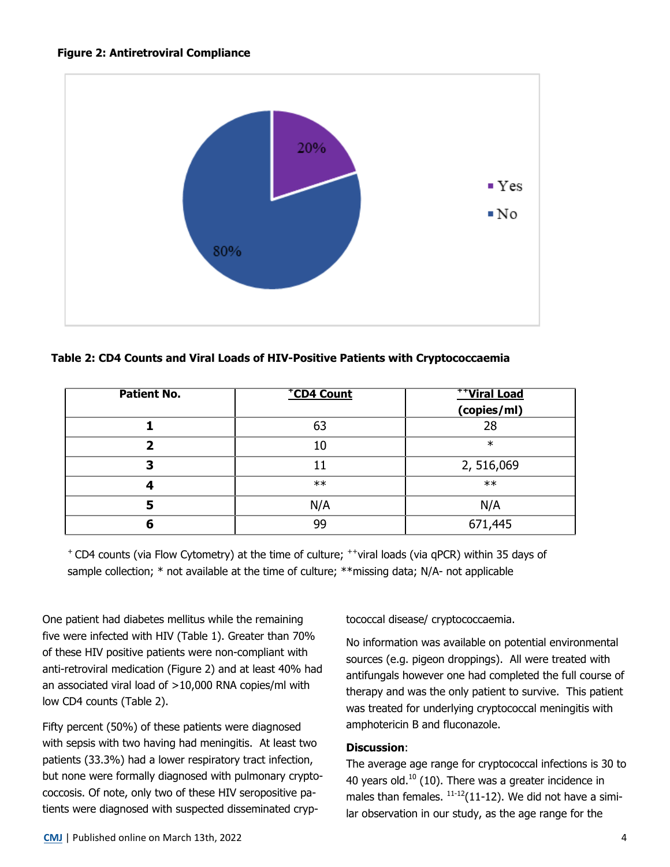

**Table 2: CD4 Counts and Viral Loads of HIV-Positive Patients with Cryptococcaemia**

| <b>Patient No.</b> | *CD4 Count | <b>THViral Load</b> |
|--------------------|------------|---------------------|
|                    |            | (copies/ml)         |
|                    | 63         | 28                  |
|                    | 10         | $\ast$              |
|                    |            | 2, 516,069          |
|                    | $**$       | $**$                |
|                    | N/A        | N/A                 |
|                    | 99         | 671,445             |

<sup>+</sup>CD4 counts (via Flow Cytometry) at the time of culture; ++viral loads (via qPCR) within 35 days of sample collection; \* not available at the time of culture; \*\*missing data; N/A- not applicable

One patient had diabetes mellitus while the remaining five were infected with HIV (Table 1). Greater than 70% of these HIV positive patients were non-compliant with anti-retroviral medication (Figure 2) and at least 40% had an associated viral load of >10,000 RNA copies/ml with low CD4 counts (Table 2).

Fifty percent (50%) of these patients were diagnosed with sepsis with two having had meningitis. At least two patients (33.3%) had a lower respiratory tract infection, but none were formally diagnosed with pulmonary cryptococcosis. Of note, only two of these HIV seropositive patients were diagnosed with suspected disseminated cryptococcal disease/ cryptococcaemia.

No information was available on potential environmental sources (e.g. pigeon droppings). All were treated with antifungals however one had completed the full course of therapy and was the only patient to survive. This patient was treated for underlying cryptococcal meningitis with amphotericin B and fluconazole.

## **Discussion**:

The average age range for cryptococcal infections is 30 to 40 years old.<sup>10</sup> (10). There was a greater incidence in males than females.  $11-12(11-12)$ . We did not have a similar observation in our study, as the age range for the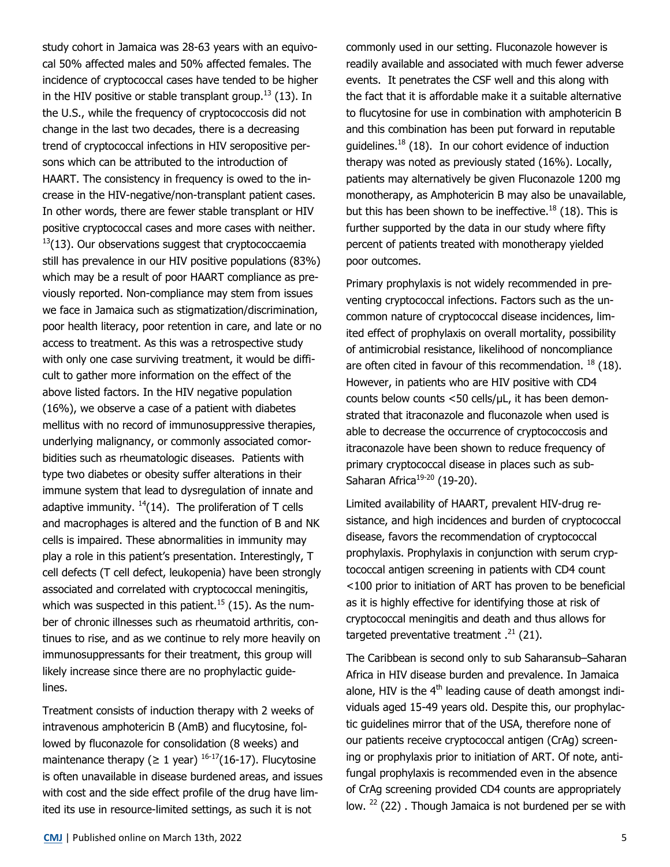study cohort in Jamaica was 28-63 years with an equivocal 50% affected males and 50% affected females. The incidence of cryptococcal cases have tended to be higher in the HIV positive or stable transplant group.<sup>13</sup> (13). In the U.S., while the frequency of cryptococcosis did not change in the last two decades, there is a decreasing trend of cryptococcal infections in HIV seropositive persons which can be attributed to the introduction of HAART. The consistency in frequency is owed to the increase in the HIV-negative/non-transplant patient cases. In other words, there are fewer stable transplant or HIV positive cryptococcal cases and more cases with neither.  $13(13)$ . Our observations suggest that cryptococcaemia still has prevalence in our HIV positive populations (83%) which may be a result of poor HAART compliance as previously reported. Non-compliance may stem from issues we face in Jamaica such as stigmatization/discrimination, poor health literacy, poor retention in care, and late or no access to treatment. As this was a retrospective study with only one case surviving treatment, it would be difficult to gather more information on the effect of the above listed factors. In the HIV negative population (16%), we observe a case of a patient with diabetes mellitus with no record of immunosuppressive therapies, underlying malignancy, or commonly associated comorbidities such as rheumatologic diseases. Patients with type two diabetes or obesity suffer alterations in their immune system that lead to dysregulation of innate and adaptive immunity.  $14(14)$ . The proliferation of T cells and macrophages is altered and the function of B and NK cells is impaired. These abnormalities in immunity may play a role in this patient's presentation. Interestingly, T cell defects (T cell defect, leukopenia) have been strongly associated and correlated with cryptococcal meningitis, which was suspected in this patient.<sup>15</sup> (15). As the number of chronic illnesses such as rheumatoid arthritis, continues to rise, and as we continue to rely more heavily on immunosuppressants for their treatment, this group will likely increase since there are no prophylactic guidelines. Treatment consists of induction therapy with 2 weeks of

intravenous amphotericin B (AmB) and flucytosine, followed by fluconazole for consolidation (8 weeks) and maintenance therapy ( $\geq 1$  year)  $16-17$  (16-17). Flucytosine is often unavailable in disease burdened areas, and issues with cost and the side effect profile of the drug have limited its use in resource-limited settings, as such it is not

commonly used in our setting. Fluconazole however is readily available and associated with much fewer adverse events. It penetrates the CSF well and this along with the fact that it is affordable make it a suitable alternative to flucytosine for use in combination with amphotericin B and this combination has been put forward in reputable guidelines.<sup>18</sup> (18). In our cohort evidence of induction therapy was noted as previously stated (16%). Locally, patients may alternatively be given Fluconazole 1200 mg monotherapy, as Amphotericin B may also be unavailable, but this has been shown to be ineffective.<sup>18</sup> (18). This is further supported by the data in our study where fifty percent of patients treated with monotherapy yielded poor outcomes.

Primary prophylaxis is not widely recommended in preventing cryptococcal infections. Factors such as the uncommon nature of cryptococcal disease incidences, limited effect of prophylaxis on overall mortality, possibility of antimicrobial resistance, likelihood of noncompliance are often cited in favour of this recommendation.  $^{18}$  (18). However, in patients who are HIV positive with CD4 counts below counts <50 cells/µL, it has been demonstrated that itraconazole and fluconazole when used is able to decrease the occurrence of cryptococcosis and itraconazole have been shown to reduce frequency of primary cryptococcal disease in places such as sub-Saharan Africa<sup>19-20</sup> (19-20).

Limited availability of HAART, prevalent HIV-drug resistance, and high incidences and burden of cryptococcal disease, favors the recommendation of cryptococcal prophylaxis. Prophylaxis in conjunction with serum cryptococcal antigen screening in patients with CD4 count <100 prior to initiation of ART has proven to be beneficial as it is highly effective for identifying those at risk of cryptococcal meningitis and death and thus allows for targeted preventative treatment  $.^{21}$  (21).

The Caribbean is second only to sub Saharansub–Saharan Africa in HIV disease burden and prevalence. In Jamaica alone, HIV is the  $4<sup>th</sup>$  leading cause of death amongst individuals aged 15-49 years old. Despite this, our prophylactic guidelines mirror that of the USA, therefore none of our patients receive cryptococcal antigen (CrAg) screening or prophylaxis prior to initiation of ART. Of note, antifungal prophylaxis is recommended even in the absence of CrAg screening provided CD4 counts are appropriately low. <sup>22</sup> (22). Though Jamaica is not burdened per se with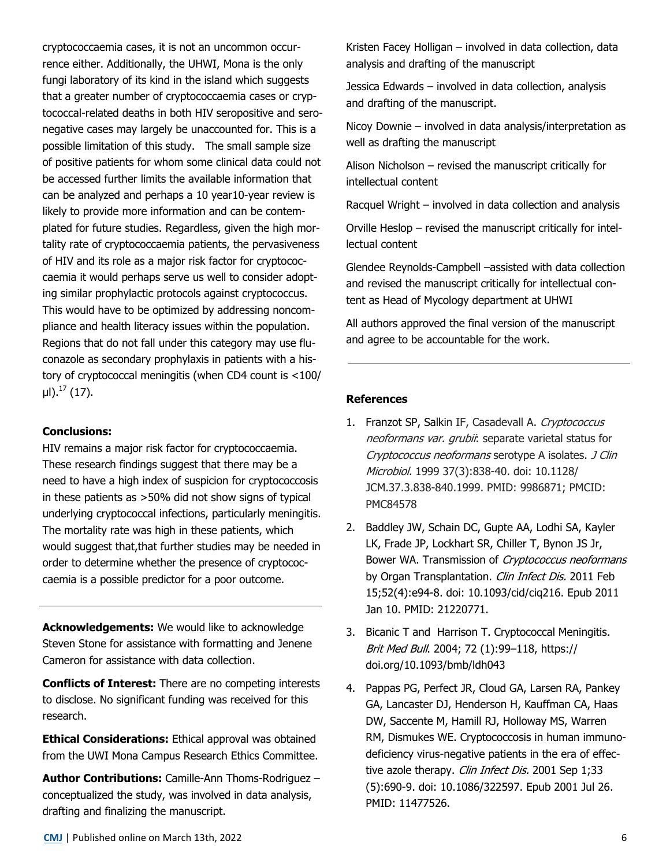cryptococcaemia cases, it is not an uncommon occurrence either. Additionally, the UHWI, Mona is the only fungi laboratory of its kind in the island which suggests that a greater number of cryptococcaemia cases or cryptococcal-related deaths in both HIV seropositive and seronegative cases may largely be unaccounted for. This is a possible limitation of this study. The small sample size of positive patients for whom some clinical data could not be accessed further limits the available information that can be analyzed and perhaps a 10 year10-year review is likely to provide more information and can be contemplated for future studies. Regardless, given the high mortality rate of cryptococcaemia patients, the pervasiveness of HIV and its role as a major risk factor for cryptococcaemia it would perhaps serve us well to consider adopting similar prophylactic protocols against cryptococcus. This would have to be optimized by addressing noncompliance and health literacy issues within the population. Regions that do not fall under this category may use fluconazole as secondary prophylaxis in patients with a history of cryptococcal meningitis (when CD4 count is <100/  $\mu$ I).<sup>17</sup> (17).

### **Conclusions:**

HIV remains a major risk factor for cryptococcaemia. These research findings suggest that there may be a need to have a high index of suspicion for cryptococcosis in these patients as >50% did not show signs of typical underlying cryptococcal infections, particularly meningitis. The mortality rate was high in these patients, which would suggest that,that further studies may be needed in order to determine whether the presence of cryptococcaemia is a possible predictor for a poor outcome.

**Acknowledgements:** We would like to acknowledge Steven Stone for assistance with formatting and Jenene Cameron for assistance with data collection.

**Conflicts of Interest:** There are no competing interests to disclose. No significant funding was received for this research.

**Ethical Considerations:** Ethical approval was obtained from the UWI Mona Campus Research Ethics Committee.

**Author Contributions:** Camille-Ann Thoms-Rodriguez – conceptualized the study, was involved in data analysis, drafting and finalizing the manuscript.

Kristen Facey Holligan – involved in data collection, data analysis and drafting of the manuscript

Jessica Edwards – involved in data collection, analysis and drafting of the manuscript.

Nicoy Downie – involved in data analysis/interpretation as well as drafting the manuscript

Alison Nicholson – revised the manuscript critically for intellectual content

Racquel Wright – involved in data collection and analysis

Orville Heslop – revised the manuscript critically for intellectual content

Glendee Reynolds-Campbell –assisted with data collection and revised the manuscript critically for intellectual content as Head of Mycology department at UHWI

All authors approved the final version of the manuscript and agree to be accountable for the work.

#### **References**

- 1. Franzot SP, Salkin IF, Casadevall A. Cryptococcus neoformans var. grubii: separate varietal status for Cryptococcus neoformans serotype A isolates. J Clin Microbiol. 1999 37(3):838-40. doi: 10.1128/ JCM.37.3.838-840.1999. PMID: 9986871; PMCID: PMC84578
- 2. Baddley JW, Schain DC, Gupte AA, Lodhi SA, Kayler LK, Frade JP, Lockhart SR, Chiller T, Bynon JS Jr, Bower WA. Transmission of Cryptococcus neoformans by Organ Transplantation. Clin Infect Dis. 2011 Feb 15;52(4):e94-8. doi: 10.1093/cid/ciq216. Epub 2011 Jan 10. PMID: 21220771.
- 3. Bicanic T and Harrison T. Cryptococcal Meningitis. Brit Med Bull. 2004; 72 (1):99-118, https:// doi.org/10.1093/bmb/ldh043
- 4. Pappas PG, Perfect JR, Cloud GA, Larsen RA, Pankey GA, Lancaster DJ, Henderson H, Kauffman CA, Haas DW, Saccente M, Hamill RJ, Holloway MS, Warren RM, Dismukes WE. Cryptococcosis in human immunodeficiency virus-negative patients in the era of effective azole therapy. Clin Infect Dis. 2001 Sep 1;33 (5):690-9. doi: 10.1086/322597. Epub 2001 Jul 26. PMID: 11477526.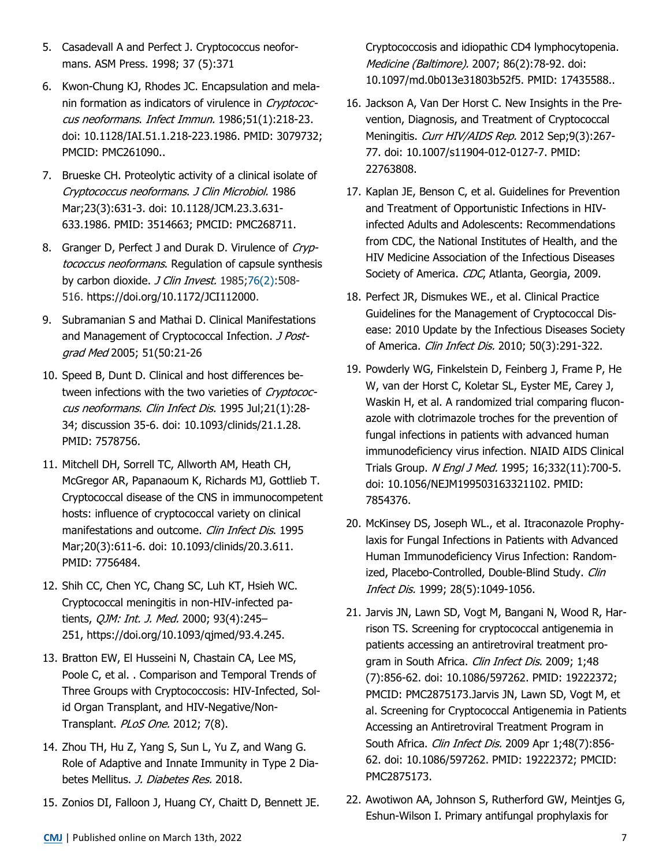- 5. Casadevall A and Perfect J. Cryptococcus neoformans. ASM Press. 1998; 37 (5):371
- 6. Kwon-Chung KJ, Rhodes JC. Encapsulation and melanin formation as indicators of virulence in Cryptococcus neoformans. Infect Immun. 1986;51(1):218-23. doi: 10.1128/IAI.51.1.218-223.1986. PMID: 3079732; PMCID: PMC261090..
- 7. Brueske CH. Proteolytic activity of a clinical isolate of Cryptococcus neoformans. J Clin Microbiol. 1986 Mar;23(3):631-3. doi: 10.1128/JCM.23.3.631- 633.1986. PMID: 3514663; PMCID: PMC268711.
- 8. Granger D, Perfect J and Durak D. Virulence of Cryptococcus neoformans. Regulation of capsule synthesis by carbon dioxide. *J Clin Invest.* 1985;[76\(2\):](http://www.jci.org/76/2)508-516. https://doi.org/10.1172/JCI112000.
- 9. Subramanian S and Mathai D. Clinical Manifestations and Management of Cryptococcal Infection. J Postgrad Med 2005; 51(50:21-26
- 10. Speed B, Dunt D. Clinical and host differences between infections with the two varieties of Cryptococcus neoformans. Clin Infect Dis. 1995 Jul;21(1):28- 34; discussion 35-6. doi: 10.1093/clinids/21.1.28. PMID: 7578756.
- 11. Mitchell DH, Sorrell TC, Allworth AM, Heath CH, McGregor AR, Papanaoum K, Richards MJ, Gottlieb T. Cryptococcal disease of the CNS in immunocompetent hosts: influence of cryptococcal variety on clinical manifestations and outcome. Clin Infect Dis. 1995 Mar;20(3):611-6. doi: 10.1093/clinids/20.3.611. PMID: 7756484.
- 12. Shih CC, Chen YC, Chang SC, Luh KT, Hsieh WC. Cryptococcal meningitis in non‐HIV‐infected patients, *QJM: Int. J. Med.* 2000; 93(4):245-251, https://doi.org/10.1093/qjmed/93.4.245.
- 13. Bratton EW, El Husseini N, Chastain CA, Lee MS, Poole C, et al. . Comparison and Temporal Trends of Three Groups with Cryptococcosis: HIV-Infected, Solid Organ Transplant, and HIV-Negative/Non-Transplant. PLoS One. 2012; 7(8).
- 14. Zhou TH, Hu Z, Yang S, Sun L, Yu Z, and Wang G. Role of Adaptive and Innate Immunity in Type 2 Diabetes Mellitus. J. Diabetes Res. 2018.
- 15. Zonios DI, Falloon J, Huang CY, Chaitt D, Bennett JE.

Cryptococcosis and idiopathic CD4 lymphocytopenia. Medicine (Baltimore). 2007; 86(2):78-92. doi: 10.1097/md.0b013e31803b52f5. PMID: 17435588..

- 16. Jackson A, Van Der Horst C. New Insights in the Prevention, Diagnosis, and Treatment of Cryptococcal Meningitis. Curr HIV/AIDS Rep. 2012 Sep;9(3):267-77. doi: 10.1007/s11904-012-0127-7. PMID: 22763808.
- 17. Kaplan JE, Benson C, et al. Guidelines for Prevention and Treatment of Opportunistic Infections in HIVinfected Adults and Adolescents: Recommendations from CDC, the National Institutes of Health, and the HIV Medicine Association of the Infectious Diseases Society of America. CDC, Atlanta, Georgia, 2009.
- 18. Perfect JR, Dismukes WE., et al. Clinical Practice Guidelines for the Management of Cryptococcal Disease: 2010 Update by the Infectious Diseases Society of America. Clin Infect Dis. 2010; 50(3):291-322.
- 19. Powderly WG, Finkelstein D, Feinberg J, Frame P, He W, van der Horst C, Koletar SL, Eyster ME, Carey J, Waskin H, et al. A randomized trial comparing fluconazole with clotrimazole troches for the prevention of fungal infections in patients with advanced human immunodeficiency virus infection. NIAID AIDS Clinical Trials Group. N Engl J Med. 1995; 16;332(11):700-5. doi: 10.1056/NEJM199503163321102. PMID: 7854376.
- 20. McKinsey DS, Joseph WL., et al. Itraconazole Prophylaxis for Fungal Infections in Patients with Advanced Human Immunodeficiency Virus Infection: Randomized, Placebo-Controlled, Double-Blind Study. Clin Infect Dis. 1999; 28(5):1049-1056.
- 21. Jarvis JN, Lawn SD, Vogt M, Bangani N, Wood R, Harrison TS. Screening for cryptococcal antigenemia in patients accessing an antiretroviral treatment program in South Africa. Clin Infect Dis. 2009; 1;48 (7):856-62. doi: 10.1086/597262. PMID: 19222372; PMCID: PMC2875173.Jarvis JN, Lawn SD, Vogt M, et al. Screening for Cryptococcal Antigenemia in Patients Accessing an Antiretroviral Treatment Program in South Africa. Clin Infect Dis. 2009 Apr 1;48(7):856-62. doi: 10.1086/597262. PMID: 19222372; PMCID: PMC2875173.
- 22. Awotiwon AA, Johnson S, Rutherford GW, Meintjes G, Eshun-Wilson I. Primary antifungal prophylaxis for